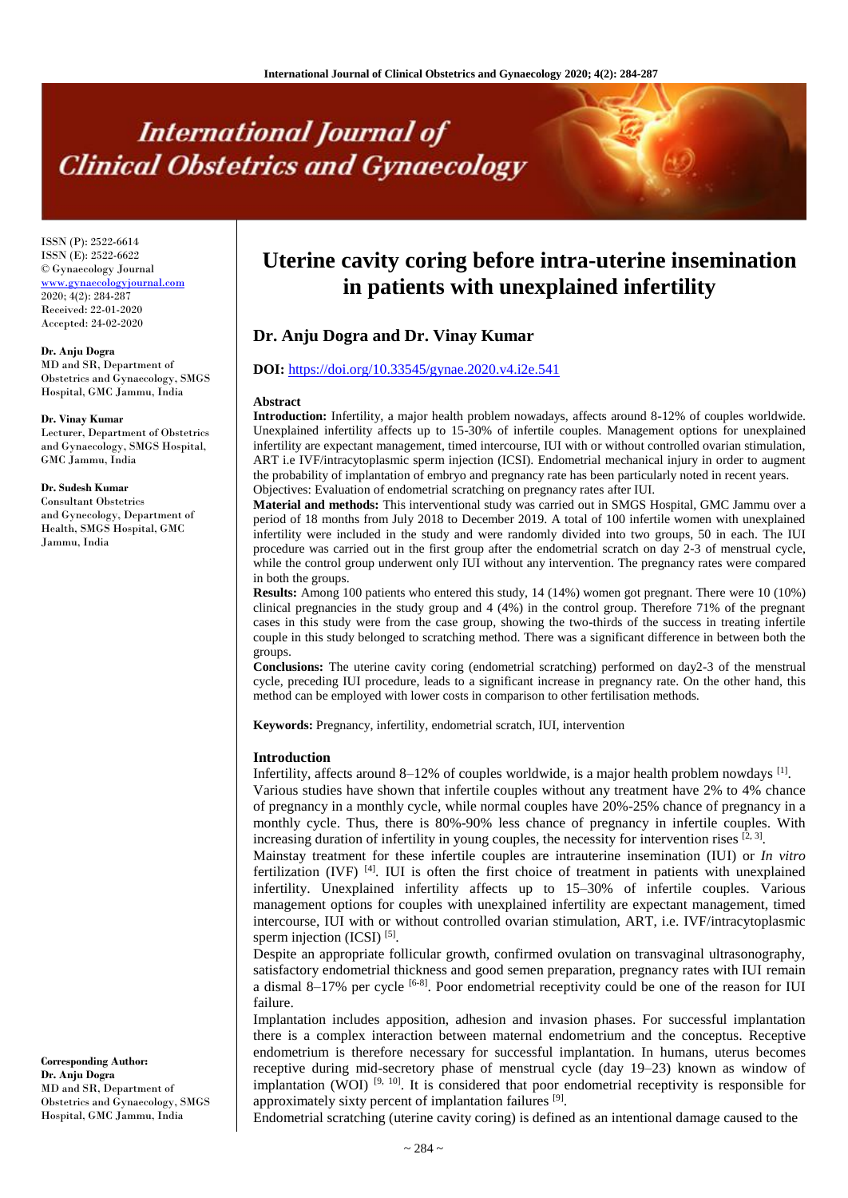# **International Journal of Clinical Obstetrics and Gynaecology**

ISSN (P): 2522-6614 ISSN (E): 2522-6622 © Gynaecology Journal [www.gynaecologyjournal.com](http://www.gynaecologyjournal.com/) 2020; 4(2): 284-287 Received: 22-01-2020 Accepted: 24-02-2020

## **Dr. Anju Dogra**

MD and SR, Department of Obstetrics and Gynaecology, SMGS Hospital, GMC Jammu, India

# **Dr. Vinay Kumar**

Lecturer, Department of Obstetrics and Gynaecology, SMGS Hospital, GMC Jammu, India

#### **Dr. Sudesh Kumar**

Consultant Obstetrics and Gynecology, Department of Health, SMGS Hospital, GMC Jammu, India

**Corresponding Author: Dr. Anju Dogra** MD and SR, Department of Obstetrics and Gynaecology, SMGS Hospital, GMC Jammu, India

# **Uterine cavity coring before intra-uterine insemination in patients with unexplained infertility**

# **Dr. Anju Dogra and Dr. Vinay Kumar**

# **DOI:** <https://doi.org/10.33545/gynae.2020.v4.i2e.541>

#### **Abstract**

**Introduction:** Infertility, a major health problem nowadays, affects around 8-12% of couples worldwide. Unexplained infertility affects up to 15-30% of infertile couples. Management options for unexplained infertility are expectant management, timed intercourse, IUI with or without controlled ovarian stimulation, ART i.e IVF/intracytoplasmic sperm injection (ICSI). Endometrial mechanical injury in order to augment the probability of implantation of embryo and pregnancy rate has been particularly noted in recent years. Objectives: Evaluation of endometrial scratching on pregnancy rates after IUI.

**Material and methods:** This interventional study was carried out in SMGS Hospital, GMC Jammu over a period of 18 months from July 2018 to December 2019. A total of 100 infertile women with unexplained infertility were included in the study and were randomly divided into two groups, 50 in each. The IUI procedure was carried out in the first group after the endometrial scratch on day 2-3 of menstrual cycle, while the control group underwent only IUI without any intervention. The pregnancy rates were compared in both the groups.

**Results:** Among 100 patients who entered this study, 14 (14%) women got pregnant. There were 10 (10%) clinical pregnancies in the study group and 4 (4%) in the control group. Therefore 71% of the pregnant cases in this study were from the case group, showing the two-thirds of the success in treating infertile couple in this study belonged to scratching method. There was a significant difference in between both the groups.

**Conclusions:** The uterine cavity coring (endometrial scratching) performed on day2-3 of the menstrual cycle, preceding IUI procedure, leads to a significant increase in pregnancy rate. On the other hand, this method can be employed with lower costs in comparison to other fertilisation methods.

**Keywords:** Pregnancy, infertility, endometrial scratch, IUI, intervention

#### **Introduction**

Infertility, affects around 8–12% of couples worldwide, is a major health problem nowdays [1].

Various studies have shown that infertile couples without any treatment have 2% to 4% chance of pregnancy in a monthly cycle, while normal couples have 20%-25% chance of pregnancy in a monthly cycle. Thus, there is 80%-90% less chance of pregnancy in infertile couples. With increasing duration of infertility in young couples, the necessity for intervention rises  $[2,3]$ .

Mainstay treatment for these infertile couples are intrauterine insemination (IUI) or *In vitro* fertilization (IVF)  $^{[4]}$ . IUI is often the first choice of treatment in patients with unexplained infertility. Unexplained infertility affects up to 15–30% of infertile couples. Various management options for couples with unexplained infertility are expectant management, timed intercourse, IUI with or without controlled ovarian stimulation, ART, i.e. IVF/intracytoplasmic sperm injection (ICSI)<sup>[5]</sup>.

Despite an appropriate follicular growth, confirmed ovulation on transvaginal ultrasonography, satisfactory endometrial thickness and good semen preparation, pregnancy rates with IUI remain a dismal 8–17% per cycle  $[6-8]$ . Poor endometrial receptivity could be one of the reason for IUI failure.

Implantation includes apposition, adhesion and invasion phases. For successful implantation there is a complex interaction between maternal endometrium and the conceptus. Receptive endometrium is therefore necessary for successful implantation. In humans, uterus becomes receptive during mid-secretory phase of menstrual cycle (day 19–23) known as window of implantation (WOI)  $[9, 10]$ . It is considered that poor endometrial receptivity is responsible for approximately sixty percent of implantation failures<sup>[9]</sup>.

Endometrial scratching (uterine cavity coring) is defined as an intentional damage caused to the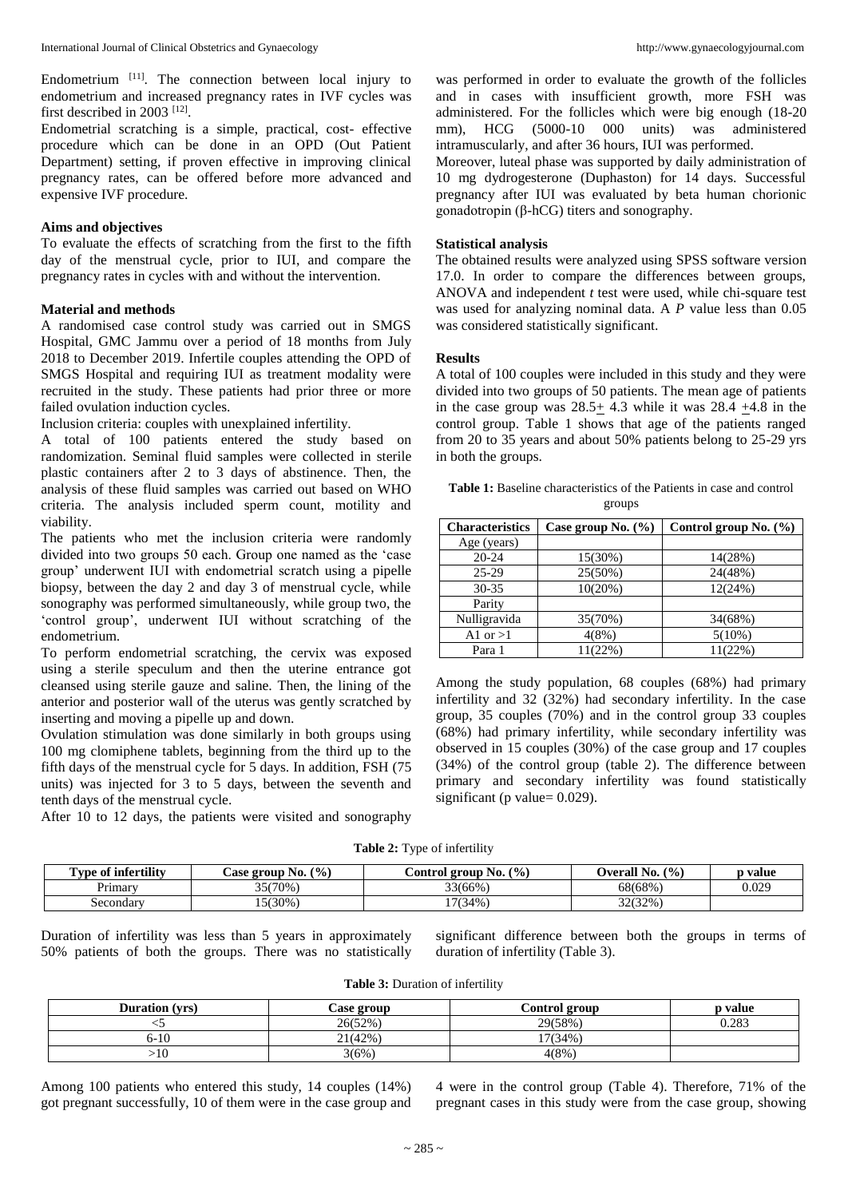Endometrium  $[11]$ . The connection between local injury to endometrium and increased pregnancy rates in IVF cycles was first described in 2003<sup>[12]</sup>.

Endometrial scratching is a simple, practical, cost- effective procedure which can be done in an OPD (Out Patient Department) setting, if proven effective in improving clinical pregnancy rates, can be offered before more advanced and expensive IVF procedure.

# **Aims and objectives**

To evaluate the effects of scratching from the first to the fifth day of the menstrual cycle, prior to IUI, and compare the pregnancy rates in cycles with and without the intervention.

# **Material and methods**

A randomised case control study was carried out in SMGS Hospital, GMC Jammu over a period of 18 months from July 2018 to December 2019. Infertile couples attending the OPD of SMGS Hospital and requiring IUI as treatment modality were recruited in the study. These patients had prior three or more failed ovulation induction cycles.

Inclusion criteria: couples with unexplained infertility.

A total of 100 patients entered the study based on randomization. Seminal fluid samples were collected in sterile plastic containers after 2 to 3 days of abstinence. Then, the analysis of these fluid samples was carried out based on WHO criteria. The analysis included sperm count, motility and viability.

The patients who met the inclusion criteria were randomly divided into two groups 50 each. Group one named as the 'case group' underwent IUI with endometrial scratch using a pipelle biopsy, between the day 2 and day 3 of menstrual cycle, while sonography was performed simultaneously, while group two, the 'control group', underwent IUI without scratching of the endometrium.

To perform endometrial scratching, the cervix was exposed using a sterile speculum and then the uterine entrance got cleansed using sterile gauze and saline. Then, the lining of the anterior and posterior wall of the uterus was gently scratched by inserting and moving a pipelle up and down.

Ovulation stimulation was done similarly in both groups using 100 mg clomiphene tablets, beginning from the third up to the fifth days of the menstrual cycle for 5 days. In addition, FSH (75 units) was injected for 3 to 5 days, between the seventh and tenth days of the menstrual cycle.

After 10 to 12 days, the patients were visited and sonography

was performed in order to evaluate the growth of the follicles and in cases with insufficient growth, more FSH was administered. For the follicles which were big enough (18-20 mm), HCG (5000-10 000 units) was administered intramuscularly, and after 36 hours, IUI was performed.

Moreover, luteal phase was supported by daily administration of 10 mg dydrogesterone (Duphaston) for 14 days. Successful pregnancy after IUI was evaluated by beta human chorionic gonadotropin (β-hCG) titers and sonography.

# **Statistical analysis**

The obtained results were analyzed using SPSS software version 17.0. In order to compare the differences between groups, ANOVA and independent *t* test were used, while chi-square test was used for analyzing nominal data. A *P* value less than 0.05 was considered statistically significant.

#### **Results**

A total of 100 couples were included in this study and they were divided into two groups of 50 patients. The mean age of patients in the case group was  $28.5+4.3$  while it was  $28.4+4.8$  in the control group. Table 1 shows that age of the patients ranged from 20 to 35 years and about 50% patients belong to 25-29 yrs in both the groups.

**Table 1:** Baseline characteristics of the Patients in case and control groups

| <b>Characteristics</b> | Case group No. $(\% )$ | Control group No. $(\% )$ |
|------------------------|------------------------|---------------------------|
| Age (years)            |                        |                           |
| $20 - 24$              | 15(30%)                | 14(28%)                   |
| $25-29$                | 25(50%)                | 24(48%)                   |
| $30 - 35$              | $10(20\%)$             | 12(24%)                   |
| Parity                 |                        |                           |
| Nulligravida           | 35(70%)                | 34(68%)                   |
| A1 or $>1$             | 4(8%)                  | $5(10\%)$                 |
| Para 1                 | 11(22%)                | 11(22%)                   |

Among the study population, 68 couples (68%) had primary infertility and 32 (32%) had secondary infertility. In the case group, 35 couples (70%) and in the control group 33 couples (68%) had primary infertility, while secondary infertility was observed in 15 couples (30%) of the case group and 17 couples (34%) of the control group (table 2). The difference between primary and secondary infertility was found statistically significant (p value= 0.029).

| Table 2: Type of infertility |  |  |
|------------------------------|--|--|
|                              |  |  |

| Type of infertility | (0/0)<br>Case group No. | (%)<br>Control group No. | (%)<br><b>Dverall No.</b> ( | p value |
|---------------------|-------------------------|--------------------------|-----------------------------|---------|
| Primarv             | 35(70%)                 | 33(66%)                  | 68(68%`                     | 0.029   |
| Secondarv           | $5(30\%)$               | $17(34\%$                | 32(32%)                     |         |

Duration of infertility was less than 5 years in approximately 50% patients of both the groups. There was no statistically significant difference between both the groups in terms of duration of infertility (Table 3).

|  | Table 3: Duration of infertility |  |
|--|----------------------------------|--|
|  |                                  |  |

| Duration (vrs) | Case group | Control group | p value |
|----------------|------------|---------------|---------|
|                | 26(52%)    | 29(58%)       | 0.283   |
| $6-10$         | 21(42%)    | $17(34\%)$    |         |
| >10            | 3(6%)      | $4(8\%)$      |         |

Among 100 patients who entered this study, 14 couples (14%) got pregnant successfully, 10 of them were in the case group and 4 were in the control group (Table 4). Therefore, 71% of the pregnant cases in this study were from the case group, showing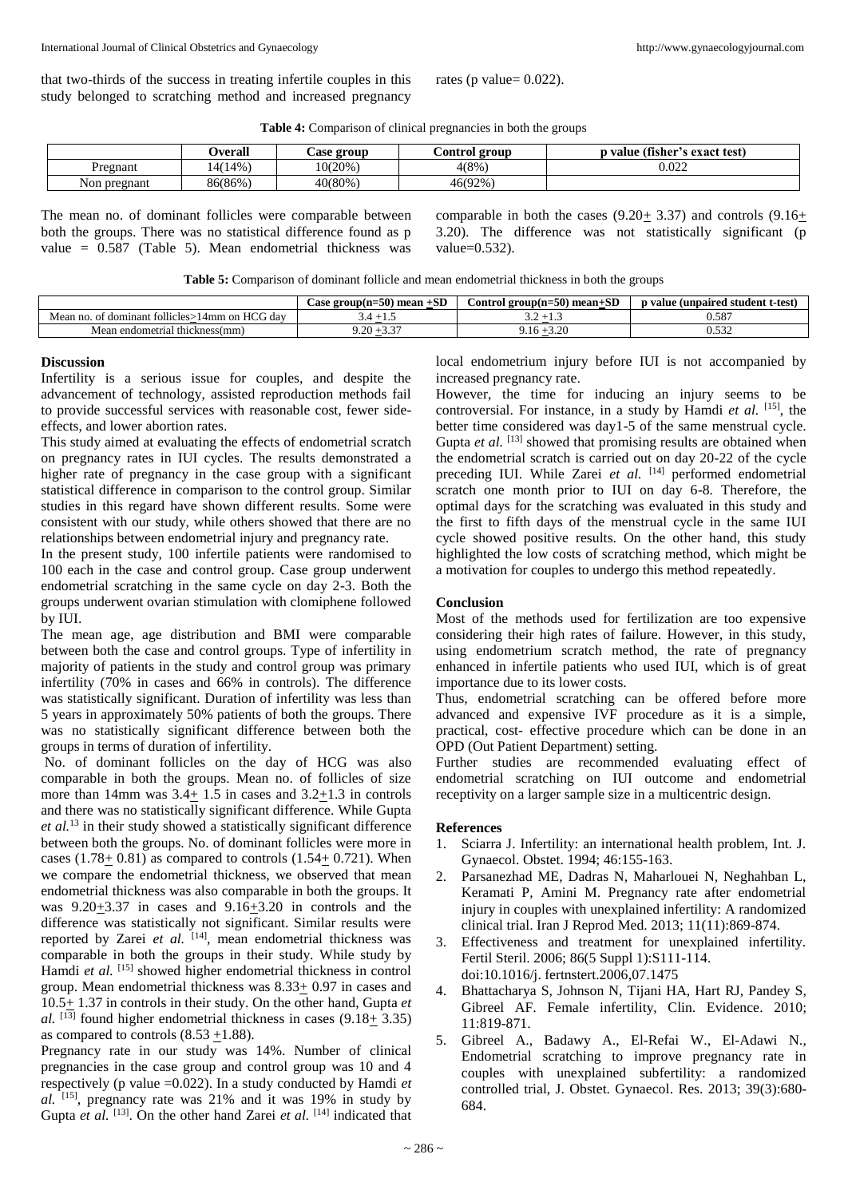that two-thirds of the success in treating infertile couples in this study belonged to scratching method and increased pregnancy

rates (p value=  $0.022$ ).

**Table 4:** Comparison of clinical pregnancies in both the groups

|              | Jverall | ase group. | Control group | (fisher's<br>s exact test)<br>n value |
|--------------|---------|------------|---------------|---------------------------------------|
| Pregnant     | 4(14%)  | $10(20\%)$ | 4(8%)         | 0.022                                 |
| Non pregnant | 86(86%  | 40(80%`    | 46(92%)       |                                       |

The mean no. of dominant follicles were comparable between both the groups. There was no statistical difference found as p value = 0.587 (Table 5). Mean endometrial thickness was

comparable in both the cases  $(9.20+3.37)$  and controls  $(9.16+)$ 3.20). The difference was not statistically significant (p value=0.532).

**Table 5:** Comparison of dominant follicle and mean endometrial thickness in both the groups

|                                                                                     | $\alpha$ <b>r</b><br>$zero$ up $(n=50)$<br>mean<br>`o co<br>+SL | $\sim$<br>Control group(n=50) mean+9<br>70 L | unpaired student t-test)<br>า value |
|-------------------------------------------------------------------------------------|-----------------------------------------------------------------|----------------------------------------------|-------------------------------------|
| <b>HCG</b> day<br>$\cdots$<br>dominant follicles>  <br>'4mm<br>Mean no.<br>on<br>ΩŤ | .<br>◡᠇                                                         | .<br><u>.</u>                                | 0.587                               |
| endometrial thickness(mm)<br>viean                                                  | $\sim$<br>$\Omega$<br>ں∠.<br>.                                  | $\sim$ $\sim$ $\sim$<br>J.40                 | $\sim$<br>ے رہیں                    |

#### **Discussion**

Infertility is a serious issue for couples, and despite the advancement of technology, assisted reproduction methods fail to provide successful services with reasonable cost, fewer sideeffects, and lower abortion rates.

This study aimed at evaluating the effects of endometrial scratch on pregnancy rates in IUI cycles. The results demonstrated a higher rate of pregnancy in the case group with a significant statistical difference in comparison to the control group. Similar studies in this regard have shown different results. Some were consistent with our study, while others showed that there are no relationships between endometrial injury and pregnancy rate.

In the present study, 100 infertile patients were randomised to 100 each in the case and control group. Case group underwent endometrial scratching in the same cycle on day 2-3. Both the groups underwent ovarian stimulation with clomiphene followed by IUI.

The mean age, age distribution and BMI were comparable between both the case and control groups. Type of infertility in majority of patients in the study and control group was primary infertility (70% in cases and 66% in controls). The difference was statistically significant. Duration of infertility was less than 5 years in approximately 50% patients of both the groups. There was no statistically significant difference between both the groups in terms of duration of infertility.

No. of dominant follicles on the day of HCG was also comparable in both the groups. Mean no. of follicles of size more than 14mm was 3.4+ 1.5 in cases and 3.2+1.3 in controls and there was no statistically significant difference. While Gupta *et al.*<sup>13</sup> in their study showed a statistically significant difference between both the groups. No. of dominant follicles were more in cases (1.78 $\pm$  0.81) as compared to controls (1.54 $\pm$  0.721). When we compare the endometrial thickness, we observed that mean endometrial thickness was also comparable in both the groups. It was 9.20+3.37 in cases and 9.16+3.20 in controls and the difference was statistically not significant. Similar results were reported by Zarei et al. <sup>[14]</sup>, mean endometrial thickness was comparable in both the groups in their study. While study by Hamdi et al. <sup>[15]</sup> showed higher endometrial thickness in control group. Mean endometrial thickness was  $8.33 \pm 0.97$  in cases and 10.5+ 1.37 in controls in their study. On the other hand, Gupta *et* al.  $^{[13]}$  found higher endometrial thickness in cases  $(9.18 + 3.35)$ as compared to controls  $(8.53 \pm 1.88)$ .

Pregnancy rate in our study was 14%. Number of clinical pregnancies in the case group and control group was 10 and 4 respectively (p value =0.022). In a study conducted by Hamdi *et*   $al.$  <sup>[15]</sup>, pregnancy rate was 21% and it was 19% in study by Gupta *et al.* <sup>[13]</sup>. On the other hand Zarei *et al.* <sup>[14]</sup> indicated that local endometrium injury before IUI is not accompanied by increased pregnancy rate.

However, the time for inducing an injury seems to be controversial. For instance, in a study by Hamdi *et al.* [15] , the better time considered was day1-5 of the same menstrual cycle. Gupta et al. <sup>[13]</sup> showed that promising results are obtained when the endometrial scratch is carried out on day 20-22 of the cycle preceding IUI. While Zarei et al. [14] performed endometrial scratch one month prior to IUI on day 6-8. Therefore, the optimal days for the scratching was evaluated in this study and the first to fifth days of the menstrual cycle in the same IUI cycle showed positive results. On the other hand, this study highlighted the low costs of scratching method, which might be a motivation for couples to undergo this method repeatedly.

# **Conclusion**

Most of the methods used for fertilization are too expensive considering their high rates of failure. However, in this study, using endometrium scratch method, the rate of pregnancy enhanced in infertile patients who used IUI, which is of great importance due to its lower costs.

Thus, endometrial scratching can be offered before more advanced and expensive IVF procedure as it is a simple, practical, cost- effective procedure which can be done in an OPD (Out Patient Department) setting.

Further studies are recommended evaluating effect of endometrial scratching on IUI outcome and endometrial receptivity on a larger sample size in a multicentric design.

#### **References**

- 1. Sciarra J. Infertility: an international health problem, Int. J. Gynaecol. Obstet. 1994; 46:155-163.
- 2. Parsanezhad ME, Dadras N, Maharlouei N, Neghahban L, Keramati P, Amini M. Pregnancy rate after endometrial injury in couples with unexplained infertility: A randomized clinical trial. Iran J Reprod Med. 2013; 11(11):869-874.
- 3. Effectiveness and treatment for unexplained infertility. Fertil Steril. 2006; 86(5 Suppl 1):S111-114. doi:10.1016/j. fertnstert.2006,07.1475
- 4. Bhattacharya S, Johnson N, Tijani HA, Hart RJ, Pandey S, Gibreel AF. Female infertility, Clin. Evidence. 2010; 11:819-871.
- 5. Gibreel A., Badawy A., El-Refai W., El-Adawi N., Endometrial scratching to improve pregnancy rate in couples with unexplained subfertility: a randomized controlled trial, J. Obstet. Gynaecol. Res. 2013; 39(3):680- 684.